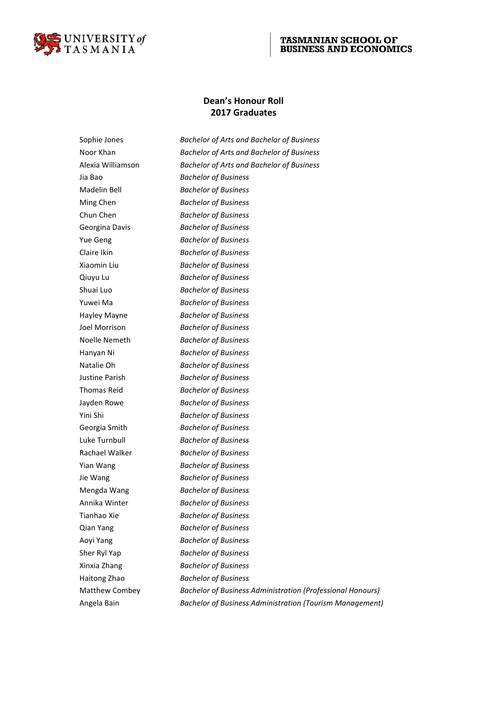

# **Dean's Honour Roll 2017 Graduates**

Sophie Jones *Bachelor of Arts and Bachelor of Business* Noor Khan *Bachelor of Arts and Bachelor of Business* Alexia Williamson *Bachelor of Arts and Bachelor of Business* Jia Bao *Bachelor of Business* Madelin Bell *Bachelor of Business* Ming Chen *Bachelor of Business* Chun Chen *Bachelor of Business* Georgina Davis *Bachelor of Business* Yue Geng *Bachelor of Business* Claire Ikin *Bachelor of Business* Xiaomin Liu *Bachelor of Business* Qiuyu Lu *Bachelor of Business* Shuai Luo *Bachelor of Business* Yuwei Ma *Bachelor of Business* Hayley Mayne *Bachelor of Business* Joel Morrison *Bachelor of Business* Noelle Nemeth *Bachelor of Business* Hanyan Ni *Bachelor of Business* Natalie Oh *Bachelor of Business* Justine Parish *Bachelor of Business* Thomas Reid *Bachelor of Business* Jayden Rowe *Bachelor of Business* Yini Shi *Bachelor of Business* Georgia Smith *Bachelor of Business* Luke Turnbull *Bachelor of Business* Rachael Walker *Bachelor of Business* Yian Wang *Bachelor of Business* Jie Wang *Bachelor of Business* Mengda Wang *Bachelor of Business* Annika Winter *Bachelor of Business* Tianhao Xie *Bachelor of Business* Qian Yang *Bachelor of Business* Aoyi Yang *Bachelor of Business* Sher Ryl Yap *Bachelor of Business* Xinxia Zhang *Bachelor of Business* Haitong Zhao *Bachelor of Business* Matthew Combey *Bachelor of Business Administration (Professional Honours)* Angela Bain *Bachelor of Business Administration (Tourism Management)*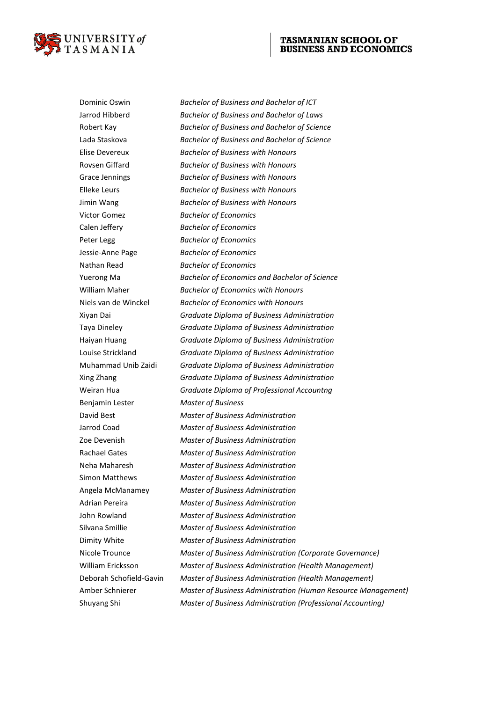

Dominic Oswin *Bachelor of Business and Bachelor of ICT* Jarrod Hibberd *Bachelor of Business and Bachelor of Laws* Robert Kay *Bachelor of Business and Bachelor of Science* Lada Staskova *Bachelor of Business and Bachelor of Science* Elise Devereux *Bachelor of Business with Honours* Rovsen Giffard *Bachelor of Business with Honours* Grace Jennings *Bachelor of Business with Honours* Elleke Leurs *Bachelor of Business with Honours* Jimin Wang *Bachelor of Business with Honours* Victor Gomez *Bachelor of Economics* Calen Jeffery *Bachelor of Economics* Peter Legg *Bachelor of Economics* Jessie-Anne Page *Bachelor of Economics* Nathan Read *Bachelor of Economics* Yuerong Ma *Bachelor of Economics and Bachelor of Science* William Maher *Bachelor of Economics with Honours* Niels van de Winckel *Bachelor of Economics with Honours* Xiyan Dai *Graduate Diploma of Business Administration* Taya Dineley *Graduate Diploma of Business Administration* Haiyan Huang *Graduate Diploma of Business Administration* Louise Strickland *Graduate Diploma of Business Administration* Muhammad Unib Zaidi *Graduate Diploma of Business Administration* Xing Zhang *Graduate Diploma of Business Administration* Weiran Hua *Graduate Diploma of Professional Accountng* Benjamin Lester *Master of Business* David Best *Master of Business Administration* Jarrod Coad *Master of Business Administration* Zoe Devenish *Master of Business Administration* Rachael Gates *Master of Business Administration* Neha Maharesh *Master of Business Administration* Simon Matthews *Master of Business Administration* Angela McManamey *Master of Business Administration* Adrian Pereira *Master of Business Administration* John Rowland *Master of Business Administration* Silvana Smillie *Master of Business Administration* Dimity White *Master of Business Administration* Nicole Trounce *Master of Business Administration (Corporate Governance)* William Ericksson *Master of Business Administration (Health Management)* Deborah Schofield-Gavin *Master of Business Administration (Health Management)* Amber Schnierer *Master of Business Administration (Human Resource Management)* Shuyang Shi *Master of Business Administration (Professional Accounting)*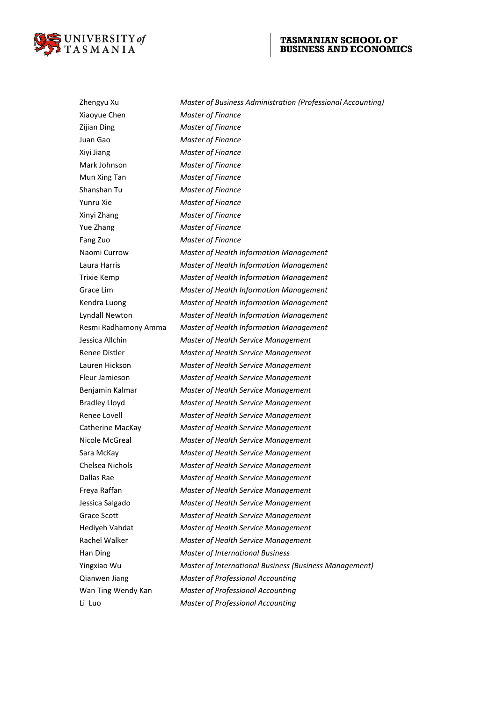

Zhengyu Xu *Master of Business Administration (Professional Accounting)* Xiaoyue Chen *Master of Finance* Zijian Ding *Master of Finance* Juan Gao *Master of Finance* Xiyi Jiang *Master of Finance* Mark Johnson *Master of Finance* Mun Xing Tan *Master of Finance* Shanshan Tu *Master of Finance* Yunru Xie *Master of Finance* Xinyi Zhang *Master of Finance* Yue Zhang *Master of Finance* Fang Zuo *Master of Finance* Naomi Currow *Master of Health Information Management* Laura Harris *Master of Health Information Management* Trixie Kemp *Master of Health Information Management* Grace Lim *Master of Health Information Management* Kendra Luong *Master of Health Information Management* Lyndall Newton *Master of Health Information Management* Resmi Radhamony Amma *Master of Health Information Management* Jessica Allchin *Master of Health Service Management* Renee Distler *Master of Health Service Management* Lauren Hickson *Master of Health Service Management* Fleur Jamieson *Master of Health Service Management* Benjamin Kalmar *Master of Health Service Management* Bradley Lloyd *Master of Health Service Management* Renee Lovell *Master of Health Service Management* Catherine MacKay *Master of Health Service Management* Nicole McGreal *Master of Health Service Management* Sara McKay *Master of Health Service Management* Chelsea Nichols *Master of Health Service Management* Dallas Rae *Master of Health Service Management* Freya Raffan *Master of Health Service Management* Jessica Salgado *Master of Health Service Management* Grace Scott *Master of Health Service Management* Hediyeh Vahdat *Master of Health Service Management* Rachel Walker *Master of Health Service Management* Han Ding *Master of International Business* Yingxiao Wu *Master of International Business (Business Management)* Qianwen Jiang *Master of Professional Accounting* Wan Ting Wendy Kan *Master of Professional Accounting* Li Luo *Master of Professional Accounting*